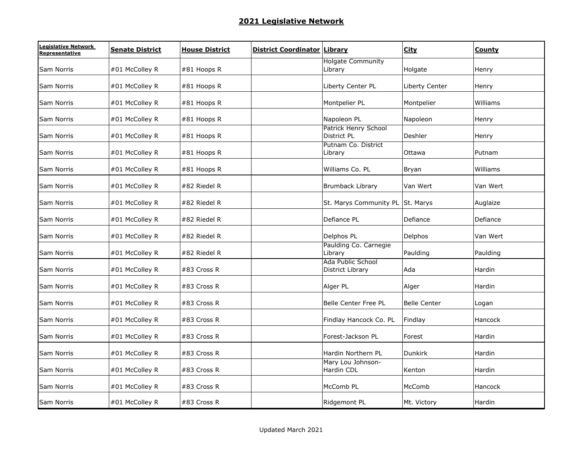| Legislative Network<br>Representative | <b>Senate District</b> | <b>House District</b> | <b>District Coordinator Library</b> |                                            | <b>City</b>         | County   |
|---------------------------------------|------------------------|-----------------------|-------------------------------------|--------------------------------------------|---------------------|----------|
| Sam Norris                            | #01 McColley R         | #81 Hoops R           |                                     | <b>Holgate Community</b><br>Library        | Holgate             | Henry    |
| Sam Norris                            | #01 McColley R         | #81 Hoops R           |                                     | Liberty Center PL                          | Liberty Center      | Henry    |
| Sam Norris                            | #01 McColley R         | #81 Hoops R           |                                     | Montpelier PL                              | Montpelier          | Williams |
| Sam Norris                            | #01 McColley R         | #81 Hoops R           |                                     | Napoleon PL                                | Napoleon            | Henry    |
| Sam Norris                            | #01 McColley R         | #81 Hoops R           |                                     | <b>Patrick Henry School</b><br>District PL | Deshler             | Henry    |
| Sam Norris                            | #01 McColley R         | #81 Hoops R           |                                     | Putnam Co. District<br>Library             | Ottawa              | Putnam   |
| Sam Norris                            | #01 McColley R         | #81 Hoops R           |                                     | Williams Co. PL                            | Bryan               | Williams |
| Sam Norris                            | #01 McColley R         | #82 Riedel R          |                                     | <b>Brumback Library</b>                    | Van Wert            | Van Wert |
| Sam Norris                            | #01 McColley R         | #82 Riedel R          |                                     | St. Marys Community PL St. Marys           |                     | Auglaize |
| Sam Norris                            | #01 McColley R         | #82 Riedel R          |                                     | Defiance PL                                | Defiance            | Defiance |
| Sam Norris                            | #01 McColley R         | #82 Riedel R          |                                     | Delphos PL                                 | Delphos             | Van Wert |
| Sam Norris                            | #01 McColley R         | #82 Riedel R          |                                     | Paulding Co. Carnegie<br>Library           | Paulding            | Paulding |
| Sam Norris                            | #01 McColley R         | #83 Cross R           |                                     | Ada Public School<br>District Library      | Ada                 | Hardin   |
| Sam Norris                            | #01 McColley R         | #83 Cross R           |                                     | Alger PL                                   | Alger               | Hardin   |
| Sam Norris                            | #01 McColley R         | #83 Cross R           |                                     | Belle Center Free PL                       | <b>Belle Center</b> | Logan    |
| Sam Norris                            | #01 McColley R         | #83 Cross R           |                                     | Findlay Hancock Co. PL                     | Findlay             | Hancock  |
| Sam Norris                            | #01 McColley R         | #83 Cross R           |                                     | Forest-Jackson PL                          | Forest              | Hardin   |
| Sam Norris                            | #01 McColley R         | #83 Cross R           |                                     | Hardin Northern PL                         | <b>Dunkirk</b>      | Hardin   |
| Sam Norris                            | #01 McColley R         | #83 Cross R           |                                     | Mary Lou Johnson-<br>Hardin CDL            | Kenton              | Hardin   |
| Sam Norris                            | #01 McColley R         | #83 Cross R           |                                     | McComb PL                                  | McComb              | Hancock  |
| Sam Norris                            | #01 McColley R         | #83 Cross R           |                                     | Ridgemont PL                               | Mt. Victory         | Hardin   |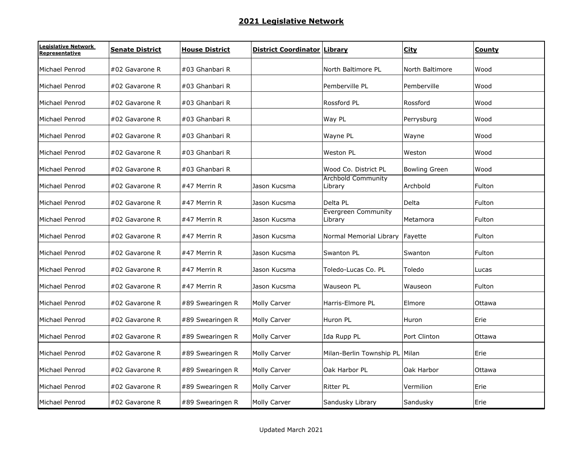| Legislative Network<br>Representative | <b>Senate District</b> | <b>House District</b> | <b>District Coordinator Library</b> |                                      | <b>City</b>          | County |
|---------------------------------------|------------------------|-----------------------|-------------------------------------|--------------------------------------|----------------------|--------|
| Michael Penrod                        | #02 Gavarone R         | #03 Ghanbari R        |                                     | North Baltimore PL                   | North Baltimore      | Wood   |
| Michael Penrod                        | #02 Gavarone R         | #03 Ghanbari R        |                                     | Pemberville PL                       | Pemberville          | Wood   |
| Michael Penrod                        | #02 Gavarone R         | #03 Ghanbari R        |                                     | Rossford PL                          | Rossford             | Wood   |
| Michael Penrod                        | #02 Gavarone R         | #03 Ghanbari R        |                                     | Way PL                               | Perrysburg           | Wood   |
| Michael Penrod                        | #02 Gavarone R         | #03 Ghanbari R        |                                     | Wayne PL                             | Wayne                | Wood   |
| Michael Penrod                        | #02 Gavarone R         | #03 Ghanbari R        |                                     | <b>Weston PL</b>                     | Weston               | Wood   |
| Michael Penrod                        | #02 Gavarone R         | #03 Ghanbari R        |                                     | Wood Co. District PL                 | <b>Bowling Green</b> | Wood   |
| Michael Penrod                        | #02 Gavarone R         | #47 Merrin R          | Jason Kucsma                        | <b>Archbold Community</b><br>Library | Archbold             | Fulton |
| Michael Penrod                        | #02 Gavarone R         | #47 Merrin R          | Jason Kucsma                        | Delta PL                             | Delta                | Fulton |
| Michael Penrod                        | #02 Gavarone R         | #47 Merrin R          | Jason Kucsma                        | Evergreen Community<br>Library       | Metamora             | Fulton |
| Michael Penrod                        | #02 Gavarone R         | #47 Merrin R          | Jason Kucsma                        | Normal Memorial Library Fayette      |                      | Fulton |
| Michael Penrod                        | #02 Gavarone R         | #47 Merrin R          | Jason Kucsma                        | Swanton PL                           | Swanton              | Fulton |
| Michael Penrod                        | #02 Gavarone R         | #47 Merrin R          | Jason Kucsma                        | Toledo-Lucas Co. PL                  | Toledo               | Lucas  |
| Michael Penrod                        | #02 Gavarone R         | #47 Merrin R          | Jason Kucsma                        | Wauseon PL                           | Wauseon              | Fulton |
| Michael Penrod                        | #02 Gavarone R         | #89 Swearingen R      | Molly Carver                        | Harris-Elmore PL                     | Elmore               | Ottawa |
| Michael Penrod                        | #02 Gavarone R         | #89 Swearingen R      | Molly Carver                        | Huron PL                             | Huron                | Erie   |
| Michael Penrod                        | #02 Gavarone R         | #89 Swearingen R      | Molly Carver                        | Ida Rupp PL                          | Port Clinton         | Ottawa |
| Michael Penrod                        | #02 Gavarone R         | #89 Swearingen R      | Molly Carver                        | Milan-Berlin Township PL Milan       |                      | Erie   |
| Michael Penrod                        | #02 Gavarone R         | #89 Swearingen R      | Molly Carver                        | Oak Harbor PL                        | Oak Harbor           | Ottawa |
| Michael Penrod                        | #02 Gavarone R         | #89 Swearingen R      | Molly Carver                        | <b>Ritter PL</b>                     | Vermilion            | Erie   |
| Michael Penrod                        | #02 Gavarone R         | #89 Swearingen R      | Molly Carver                        | Sandusky Library                     | Sandusky             | Erie   |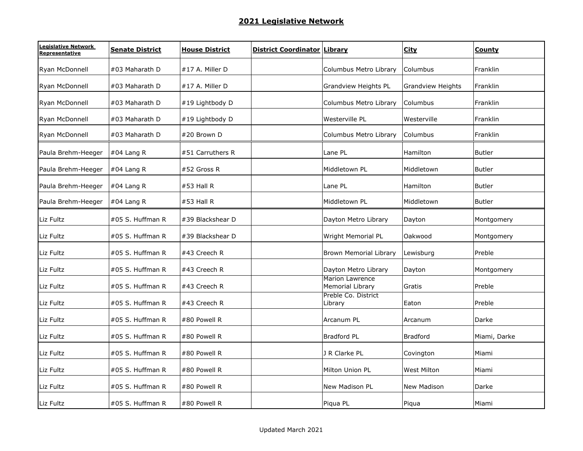| Legislative Network<br>Representative | <b>Senate District</b> | <b>House District</b> | <b>District Coordinator Library</b> |                                            | <b>City</b>              | County        |
|---------------------------------------|------------------------|-----------------------|-------------------------------------|--------------------------------------------|--------------------------|---------------|
| Ryan McDonnell                        | #03 Maharath D         | #17 A. Miller D       |                                     | Columbus Metro Library                     | Columbus                 | Franklin      |
| Ryan McDonnell                        | #03 Maharath D         | $#17$ A. Miller D     |                                     | Grandview Heights PL                       | <b>Grandview Heights</b> | Franklin      |
| Ryan McDonnell                        | #03 Maharath D         | #19 Lightbody D       |                                     | Columbus Metro Library                     | Columbus                 | Franklin      |
| Ryan McDonnell                        | #03 Maharath D         | #19 Lightbody D       |                                     | Westerville PL                             | Westerville              | Franklin      |
| Ryan McDonnell                        | #03 Maharath D         | #20 Brown D           |                                     | Columbus Metro Library                     | Columbus                 | Franklin      |
| Paula Brehm-Heeger                    | $#04$ Lang R           | #51 Carruthers R      |                                     | Lane PL                                    | Hamilton                 | <b>Butler</b> |
| Paula Brehm-Heeger                    | $#04$ Lang R           | #52 Gross R           |                                     | Middletown PL                              | Middletown               | <b>Butler</b> |
| Paula Brehm-Heeger                    | $#04$ Lang R           | $#53$ Hall R          |                                     | Lane PL                                    | Hamilton                 | Butler        |
| Paula Brehm-Heeger                    | $#04$ Lang R           | #53 Hall R            |                                     | Middletown PL                              | Middletown               | <b>Butler</b> |
| Liz Fultz                             | #05 S. Huffman R       | #39 Blackshear D      |                                     | Dayton Metro Library                       | Dayton                   | Montgomery    |
| Liz Fultz                             | #05 S. Huffman R       | #39 Blackshear D      |                                     | Wright Memorial PL                         | Oakwood                  | Montgomery    |
| Liz Fultz                             | #05 S. Huffman R       | #43 Creech R          |                                     | <b>Brown Memorial Library</b>              | Lewisburg                | Preble        |
| Liz Fultz                             | #05 S. Huffman R       | #43 Creech R          |                                     | Dayton Metro Library                       | Dayton                   | Montgomery    |
| Liz Fultz                             | #05 S. Huffman R       | #43 Creech R          |                                     | <b>Marion Lawrence</b><br>Memorial Library | Gratis                   | Preble        |
| Liz Fultz                             | #05 S. Huffman R       | #43 Creech R          |                                     | Preble Co. District<br>Library             | Eaton                    | Preble        |
| Liz Fultz                             | #05 S. Huffman R       | #80 Powell R          |                                     | Arcanum PL                                 | Arcanum                  | Darke         |
| Liz Fultz                             | #05 S. Huffman R       | #80 Powell R          |                                     | <b>Bradford PL</b>                         | <b>Bradford</b>          | Miami, Darke  |
| Liz Fultz                             | #05 S. Huffman R       | #80 Powell R          |                                     | J R Clarke PL                              | Covington                | Miami         |
| Liz Fultz                             | #05 S. Huffman R       | #80 Powell R          |                                     | Milton Union PL                            | <b>West Milton</b>       | Miami         |
| Liz Fultz                             | #05 S. Huffman R       | #80 Powell R          |                                     | New Madison PL                             | New Madison              | Darke         |
| Liz Fultz                             | #05 S. Huffman R       | #80 Powell R          |                                     | Piqua PL                                   | Piqua                    | Miami         |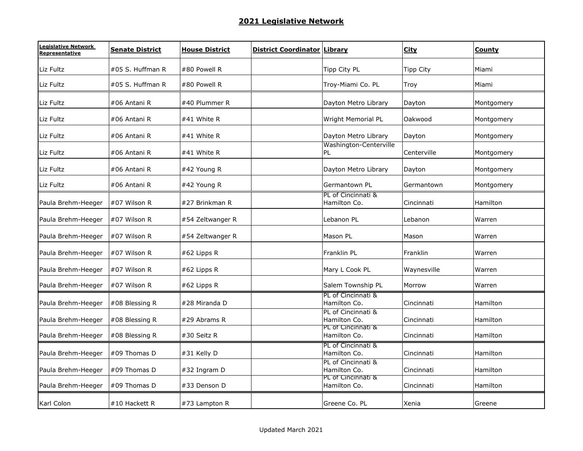| Legislative Network<br>Representative | <b>Senate District</b> | <b>House District</b> | <b>District Coordinator Library</b> |                                    | <b>City</b>      | <b>County</b> |
|---------------------------------------|------------------------|-----------------------|-------------------------------------|------------------------------------|------------------|---------------|
| Liz Fultz                             | #05 S. Huffman R       | #80 Powell R          |                                     | Tipp City PL                       | <b>Tipp City</b> | Miami         |
| Liz Fultz                             | #05 S. Huffman R       | #80 Powell R          |                                     | Troy-Miami Co. PL                  | Troy             | Miami         |
| Liz Fultz                             | #06 Antani R           | #40 Plummer R         |                                     | Dayton Metro Library               | Dayton           | Montgomery    |
| Liz Fultz                             | #06 Antani R           | #41 White R           |                                     | Wright Memorial PL                 | Oakwood          | Montgomery    |
| Liz Fultz                             | #06 Antani R           | #41 White R           |                                     | Dayton Metro Library               | Dayton           | Montgomery    |
| Liz Fultz                             | #06 Antani R           | #41 White R           |                                     | Washington-Centerville<br>PL       | Centerville      | Montgomery    |
| Liz Fultz                             | #06 Antani R           | #42 Young R           |                                     | Dayton Metro Library               | Dayton           | Montgomery    |
| Liz Fultz                             | #06 Antani R           | #42 Young R           |                                     | Germantown PL                      | Germantown       | Montgomery    |
| Paula Brehm-Heeger                    | #07 Wilson R           | #27 Brinkman R        |                                     | PL of Cincinnati &<br>Hamilton Co. | Cincinnati       | Hamilton      |
| Paula Brehm-Heeger                    | #07 Wilson R           | #54 Zeltwanger R      |                                     | Lebanon PL                         | Lebanon          | Warren        |
| Paula Brehm-Heeger                    | #07 Wilson R           | #54 Zeltwanger R      |                                     | Mason PL                           | Mason            | Warren        |
| Paula Brehm-Heeger                    | #07 Wilson R           | #62 Lipps R           |                                     | Franklin PL                        | Franklin         | Warren        |
| Paula Brehm-Heeger                    | #07 Wilson R           | #62 Lipps R           |                                     | Mary L Cook PL                     | Waynesville      | Warren        |
| Paula Brehm-Heeger                    | #07 Wilson R           | #62 Lipps R           |                                     | Salem Township PL                  | Morrow           | Warren        |
| Paula Brehm-Heeger                    | #08 Blessing R         | #28 Miranda D         |                                     | PL of Cincinnati &<br>Hamilton Co. | Cincinnati       | Hamilton      |
| Paula Brehm-Heeger                    | #08 Blessing R         | #29 Abrams R          |                                     | PL of Cincinnati &<br>Hamilton Co. | Cincinnati       | Hamilton      |
| Paula Brehm-Heeger                    | #08 Blessing R         | #30 Seitz R           |                                     | PL of Cincinnati &<br>Hamilton Co. | Cincinnati       | Hamilton      |
| Paula Brehm-Heeger                    | #09 Thomas D           | #31 Kelly D           |                                     | PL of Cincinnati &<br>Hamilton Co. | Cincinnati       | Hamilton      |
| Paula Brehm-Heeger                    | #09 Thomas D           | #32 Ingram D          |                                     | PL of Cincinnati &<br>Hamilton Co. | Cincinnati       | Hamilton      |
| Paula Brehm-Heeger                    | #09 Thomas D           | #33 Denson D          |                                     | PL of Cincinnati &<br>Hamilton Co. | Cincinnati       | Hamilton      |
| Karl Colon                            | #10 Hackett R          | #73 Lampton R         |                                     | Greene Co. PL                      | Xenia            | Greene        |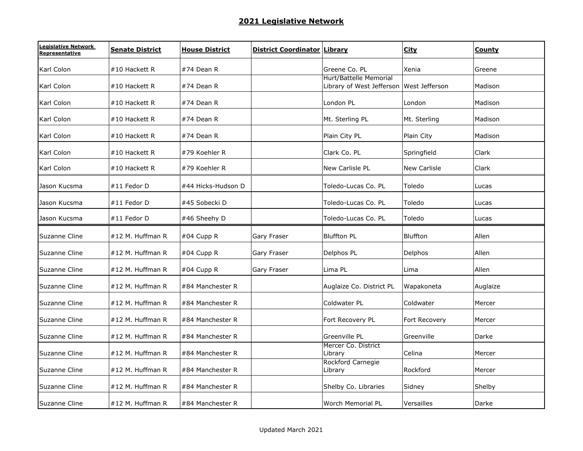| Legislative Network<br>Representative | <b>Senate District</b> | <b>House District</b> | <b>District Coordinator Library</b> |                                                                    | <b>City</b>         | <b>County</b> |
|---------------------------------------|------------------------|-----------------------|-------------------------------------|--------------------------------------------------------------------|---------------------|---------------|
| Karl Colon                            | #10 Hackett R          | #74 Dean R            |                                     | Greene Co. PL                                                      | Xenia               | Greene        |
| Karl Colon                            | #10 Hackett R          | #74 Dean R            |                                     | Hurt/Battelle Memorial<br>Library of West Jefferson West Jefferson |                     | Madison       |
| Karl Colon                            | #10 Hackett R          | #74 Dean R            |                                     | London PL                                                          | London              | Madison       |
| Karl Colon                            | #10 Hackett R          | #74 Dean R            |                                     | Mt. Sterling PL                                                    | Mt. Sterling        | Madison       |
| Karl Colon                            | #10 Hackett R          | #74 Dean R            |                                     | Plain City PL                                                      | Plain City          | Madison       |
| Karl Colon                            | #10 Hackett R          | #79 Koehler R         |                                     | Clark Co. PL                                                       | Springfield         | Clark         |
| Karl Colon                            | #10 Hackett R          | #79 Koehler R         |                                     | New Carlisle PL                                                    | <b>New Carlisle</b> | Clark         |
| Jason Kucsma                          | #11 Fedor D            | #44 Hicks-Hudson D    |                                     | Toledo-Lucas Co. PL                                                | Toledo              | Lucas         |
| Jason Kucsma                          | #11 Fedor D            | #45 Sobecki D         |                                     | Toledo-Lucas Co. PL                                                | Toledo              | Lucas         |
| Jason Kucsma                          | #11 Fedor D            | #46 Sheehy D          |                                     | Toledo-Lucas Co. PL                                                | Toledo              | Lucas         |
| Suzanne Cline                         | #12 M. Huffman R       | #04 Cupp R            | Gary Fraser                         | <b>Bluffton PL</b>                                                 | <b>Bluffton</b>     | Allen         |
| Suzanne Cline                         | #12 M. Huffman R       | #04 Cupp R            | Gary Fraser                         | Delphos PL                                                         | Delphos             | Allen         |
| Suzanne Cline                         | #12 M. Huffman R       | $#04$ Cupp R          | Gary Fraser                         | Lima PL                                                            | Lima                | Allen         |
| Suzanne Cline                         | #12 M. Huffman R       | #84 Manchester R      |                                     | Auglaize Co. District PL                                           | Wapakoneta          | Auglaize      |
| Suzanne Cline                         | #12 M. Huffman R       | #84 Manchester R      |                                     | Coldwater PL                                                       | Coldwater           | Mercer        |
| Suzanne Cline                         | #12 M. Huffman R       | #84 Manchester R      |                                     | Fort Recovery PL                                                   | Fort Recovery       | Mercer        |
| Suzanne Cline                         | #12 M. Huffman R       | #84 Manchester R      |                                     | Greenville PL                                                      | Greenville          | Darke         |
| Suzanne Cline                         | #12 M. Huffman R       | #84 Manchester R      |                                     | Mercer Co. District<br>Library                                     | Celina              | Mercer        |
| Suzanne Cline                         | #12 M. Huffman R       | #84 Manchester R      |                                     | Rockford Carnegie<br>Library                                       | Rockford            | Mercer        |
| Suzanne Cline                         | #12 M. Huffman R       | #84 Manchester R      |                                     | Shelby Co. Libraries                                               | Sidney              | Shelby        |
| Suzanne Cline                         | #12 M. Huffman R       | #84 Manchester R      |                                     | Worch Memorial PL                                                  | Versailles          | Darke         |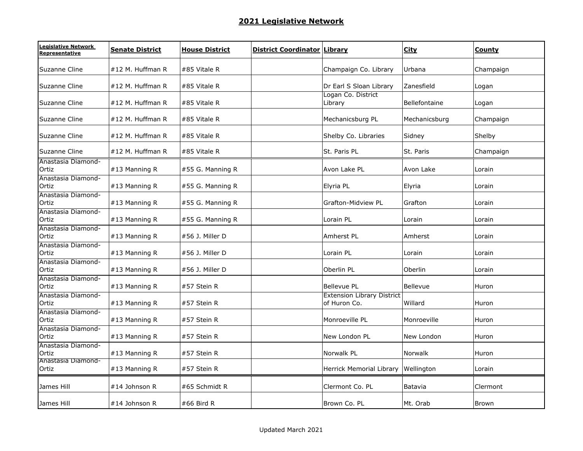| Legislative Network<br>Representative | <b>Senate District</b> | <b>House District</b> | <b>District Coordinator Library</b> |                                                   | <b>City</b>   | County       |
|---------------------------------------|------------------------|-----------------------|-------------------------------------|---------------------------------------------------|---------------|--------------|
| Suzanne Cline                         | #12 M. Huffman R       | #85 Vitale R          |                                     | Champaign Co. Library                             | Urbana        | Champaign    |
| Suzanne Cline                         | #12 M. Huffman R       | #85 Vitale R          |                                     | Dr Earl S Sloan Library                           | Zanesfield    | Logan        |
| Suzanne Cline                         | #12 M. Huffman R       | #85 Vitale R          |                                     | Logan Co. District<br>Library                     | Bellefontaine | Logan        |
| Suzanne Cline                         | #12 M. Huffman R       | #85 Vitale R          |                                     | Mechanicsburg PL                                  | Mechanicsburg | Champaign    |
| Suzanne Cline                         | #12 M. Huffman R       | #85 Vitale R          |                                     | Shelby Co. Libraries                              | Sidney        | Shelby       |
| Suzanne Cline                         | #12 M. Huffman R       | #85 Vitale R          |                                     | St. Paris PL                                      | St. Paris     | Champaign    |
| Anastasia Diamond-<br>Ortiz           | #13 Manning R          | #55 G. Manning R      |                                     | Avon Lake PL                                      | Avon Lake     | Lorain       |
| Anastasia Diamond-<br>Ortiz           | #13 Manning R          | #55 G. Manning R      |                                     | Elyria PL                                         | Elyria        | Lorain       |
| Anastasia Diamond-<br>Ortiz           | #13 Manning R          | #55 G. Manning R      |                                     | <b>Grafton-Midview PL</b>                         | Grafton       | Lorain       |
| Anastasia Diamond-<br>Ortiz           | $#13$ Manning R        | #55 G. Manning R      |                                     | Lorain PL                                         | Lorain        | Lorain       |
| Anastasia Diamond-<br>Ortiz           | #13 Manning R          | #56 J. Miller D       |                                     | Amherst PL                                        | Amherst       | Lorain       |
| Anastasia Diamond-<br>Ortiz           | #13 Manning R          | #56 J. Miller D       |                                     | Lorain PL                                         | Lorain        | Lorain       |
| Anastasia Diamond-<br>Ortiz           | #13 Manning R          | #56 J. Miller D       |                                     | Oberlin PL                                        | Oberlin       | Lorain       |
| Anastasia Diamond-<br>Ortiz           | #13 Manning R          | #57 Stein R           |                                     | <b>Bellevue PL</b>                                | Bellevue      | Huron        |
| Anastasia Diamond-<br>Ortiz           | #13 Manning R          | #57 Stein R           |                                     | <b>Extension Library District</b><br>of Huron Co. | Willard       | Huron        |
| Anastasia Diamond-<br>Ortiz           | #13 Manning R          | #57 Stein R           |                                     | Monroeville PL                                    | Monroeville   | Huron        |
| Anastasia Diamond-<br>Ortiz           | #13 Manning R          | #57 Stein R           |                                     | New London PL                                     | New London    | Huron        |
| Anastasia Diamond-<br>Ortiz           | #13 Manning R          | #57 Stein R           |                                     | Norwalk PL                                        | Norwalk       | Huron        |
| Anastasia Diamond-<br>Ortiz           | #13 Manning R          | #57 Stein R           |                                     | Herrick Memorial Library Wellington               |               | Lorain       |
| James Hill                            | #14 Johnson R          | #65 Schmidt R         |                                     | Clermont Co. PL                                   | Batavia       | Clermont     |
| James Hill                            | #14 Johnson R          | #66 Bird R            |                                     | Brown Co. PL                                      | Mt. Orab      | <b>Brown</b> |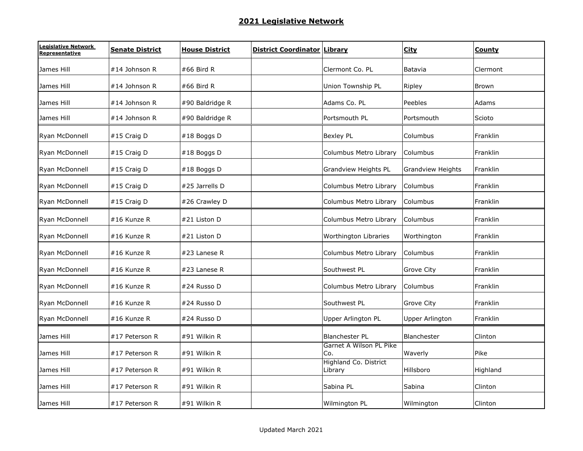| Legislative Network<br>Representative | <b>Senate District</b> | <b>House District</b> | <b>District Coordinator Library</b> |                                  | <b>City</b>              | County   |
|---------------------------------------|------------------------|-----------------------|-------------------------------------|----------------------------------|--------------------------|----------|
| James Hill                            | #14 Johnson R          | #66 Bird R            |                                     | Clermont Co. PL                  | Batavia                  | Clermont |
| James Hill                            | #14 Johnson R          | #66 Bird R            |                                     | Union Township PL                | Ripley                   | Brown    |
| James Hill                            | #14 Johnson R          | #90 Baldridge R       |                                     | Adams Co. PL                     | Peebles                  | Adams    |
| James Hill                            | #14 Johnson R          | #90 Baldridge R       |                                     | Portsmouth PL                    | Portsmouth               | Scioto   |
| Ryan McDonnell                        | #15 Craig D            | #18 Boggs D           |                                     | <b>Bexley PL</b>                 | Columbus                 | Franklin |
| Ryan McDonnell                        | #15 Craig D            | #18 Boggs D           |                                     | Columbus Metro Library           | Columbus                 | Franklin |
| Ryan McDonnell                        | #15 Craig D            | #18 Boggs D           |                                     | Grandview Heights PL             | <b>Grandview Heights</b> | Franklin |
| Ryan McDonnell                        | #15 Craig D            | #25 Jarrells D        |                                     | Columbus Metro Library           | Columbus                 | Franklin |
| Ryan McDonnell                        | #15 Craig D            | #26 Crawley D         |                                     | Columbus Metro Library           | Columbus                 | Franklin |
| Ryan McDonnell                        | #16 Kunze R            | #21 Liston D          |                                     | Columbus Metro Library           | Columbus                 | Franklin |
| Ryan McDonnell                        | #16 Kunze R            | #21 Liston D          |                                     | Worthington Libraries            | Worthington              | Franklin |
| Ryan McDonnell                        | #16 Kunze R            | $#23$ Lanese R        |                                     | Columbus Metro Library           | Columbus                 | Franklin |
| Ryan McDonnell                        | #16 Kunze R            | #23 Lanese R          |                                     | Southwest PL                     | <b>Grove City</b>        | Franklin |
| Ryan McDonnell                        | #16 Kunze R            | #24 Russo D           |                                     | Columbus Metro Library           | Columbus                 | Franklin |
| Ryan McDonnell                        | #16 Kunze R            | #24 Russo D           |                                     | Southwest PL                     | <b>Grove City</b>        | Franklin |
| Ryan McDonnell                        | #16 Kunze R            | #24 Russo D           |                                     | Upper Arlington PL               | <b>Upper Arlington</b>   | Franklin |
| James Hill                            | #17 Peterson R         | #91 Wilkin R          |                                     | <b>Blanchester PL</b>            | Blanchester              | Clinton  |
| James Hill                            | #17 Peterson R         | #91 Wilkin R          |                                     | Garnet A Wilson PL Pike<br>Co.   | Waverly                  | Pike     |
| James Hill                            | #17 Peterson R         | #91 Wilkin R          |                                     | Highland Co. District<br>Library | Hillsboro                | Highland |
| James Hill                            | #17 Peterson R         | #91 Wilkin R          |                                     | Sabina PL                        | Sabina                   | Clinton  |
| James Hill                            | #17 Peterson R         | #91 Wilkin R          |                                     | Wilmington PL                    | Wilmington               | Clinton  |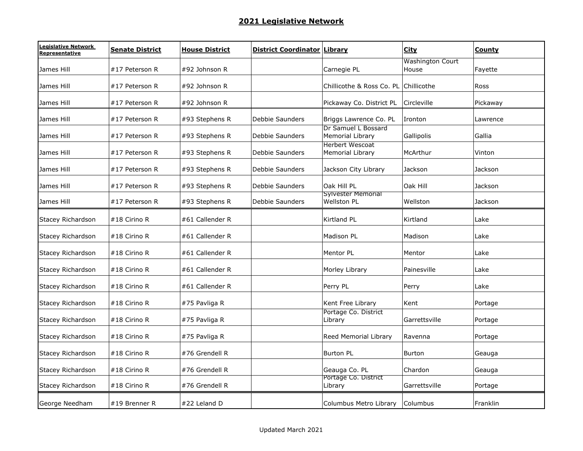| Legislative Network<br>Representative | <b>Senate District</b> | <b>House District</b> | <b>District Coordinator Library</b> |                                                 | <b>City</b>                      | County   |
|---------------------------------------|------------------------|-----------------------|-------------------------------------|-------------------------------------------------|----------------------------------|----------|
| James Hill                            | #17 Peterson R         | #92 Johnson R         |                                     | Carnegie PL                                     | <b>Washington Court</b><br>House | Fayette  |
| James Hill                            | #17 Peterson R         | #92 Johnson R         |                                     | Chillicothe & Ross Co. PL Chillicothe           |                                  | Ross     |
| James Hill                            | #17 Peterson R         | #92 Johnson R         |                                     | Pickaway Co. District PL                        | Circleville                      | Pickaway |
| James Hill                            | #17 Peterson R         | #93 Stephens R        | Debbie Saunders                     | Briggs Lawrence Co. PL                          | Ironton                          | Lawrence |
| James Hill                            | #17 Peterson R         | #93 Stephens R        | Debbie Saunders                     | Dr Samuel L Bossard<br>Memorial Library         | Gallipolis                       | Gallia   |
| James Hill                            | #17 Peterson R         | #93 Stephens R        | Debbie Saunders                     | <b>Herbert Wescoat</b><br>Memorial Library      | McArthur                         | Vinton   |
| James Hill                            | #17 Peterson R         | #93 Stephens R        | Debbie Saunders                     | Jackson City Library                            | Jackson                          | Jackson  |
| James Hill                            | #17 Peterson R         | #93 Stephens R        | Debbie Saunders                     | Oak Hill PL                                     | Oak Hill                         | Jackson  |
| James Hill                            | #17 Peterson R         | #93 Stephens R        | <b>Debbie Saunders</b>              | <b>Sylvester Memorial</b><br><b>Wellston PL</b> | Wellston                         | Jackson  |
| Stacey Richardson                     | #18 Cirino R           | #61 Callender R       |                                     | Kirtland PL                                     | Kirtland                         | Lake     |
| Stacey Richardson                     | #18 Cirino R           | #61 Callender R       |                                     | Madison PL                                      | Madison                          | Lake     |
| Stacey Richardson                     | #18 Cirino R           | #61 Callender R       |                                     | Mentor PL                                       | Mentor                           | Lake     |
| Stacey Richardson                     | #18 Cirino R           | #61 Callender R       |                                     | Morley Library                                  | Painesville                      | Lake     |
| Stacey Richardson                     | #18 Cirino R           | #61 Callender R       |                                     | Perry PL                                        | Perry                            | Lake     |
| Stacey Richardson                     | #18 Cirino R           | #75 Pavliga R         |                                     | Kent Free Library                               | Kent                             | Portage  |
| Stacey Richardson                     | #18 Cirino R           | #75 Pavliga R         |                                     | Portage Co. District<br>Library                 | Garrettsville                    | Portage  |
| Stacey Richardson                     | #18 Cirino R           | #75 Pavliga R         |                                     | Reed Memorial Library                           | Ravenna                          | Portage  |
| Stacey Richardson                     | #18 Cirino R           | #76 Grendell R        |                                     | <b>Burton PL</b>                                | <b>Burton</b>                    | Geauga   |
| Stacey Richardson                     | #18 Cirino R           | #76 Grendell R        |                                     | Geauga Co. PL                                   | Chardon                          | Geauga   |
| Stacey Richardson                     | #18 Cirino R           | #76 Grendell R        |                                     | Portage Co. District<br>Library                 | Garrettsville                    | Portage  |
| George Needham                        | #19 Brenner R          | #22 Leland D          |                                     | Columbus Metro Library                          | Columbus                         | Franklin |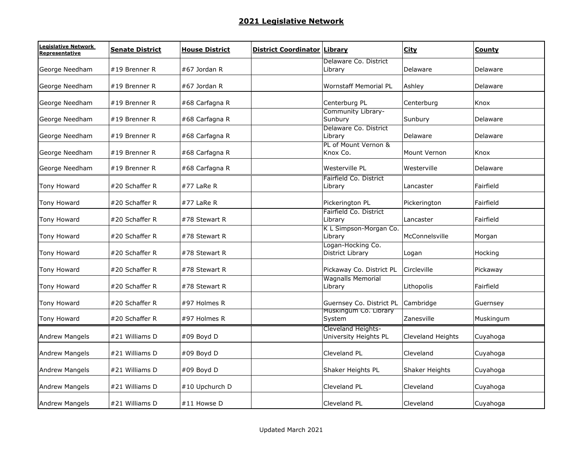| Legislative Network<br>Representative | <b>Senate District</b> | <b>House District</b> | <b>District Coordinator Library</b> |                                   | <b>City</b>       | County    |
|---------------------------------------|------------------------|-----------------------|-------------------------------------|-----------------------------------|-------------------|-----------|
|                                       |                        |                       |                                     | Delaware Co. District             |                   |           |
| George Needham                        | #19 Brenner R          | #67 Jordan R          |                                     | Library                           | Delaware          | Delaware  |
| George Needham                        | #19 Brenner R          | #67 Jordan R          |                                     | Wornstaff Memorial PL             | Ashley            | Delaware  |
| George Needham                        | #19 Brenner R          | #68 Carfagna R        |                                     | Centerburg PL                     | Centerburg        | Knox      |
|                                       |                        |                       |                                     | Community Library-                |                   |           |
| George Needham                        | #19 Brenner R          | #68 Carfagna R        |                                     | Sunbury                           | Sunbury           | Delaware  |
|                                       |                        |                       |                                     | Delaware Co. District             |                   |           |
| George Needham                        | #19 Brenner R          | #68 Carfagna R        |                                     | Library<br>PL of Mount Vernon &   | Delaware          | Delaware  |
| George Needham                        | #19 Brenner R          | #68 Carfagna R        |                                     | Knox Co.                          | Mount Vernon      | Knox      |
| George Needham                        | #19 Brenner R          | #68 Carfagna R        |                                     | Westerville PL                    | Westerville       | Delaware  |
|                                       |                        |                       |                                     | Fairfield Co. District            |                   |           |
| Tony Howard                           | #20 Schaffer R         | #77 LaRe R            |                                     | Library                           | Lancaster         | Fairfield |
| Tony Howard                           | #20 Schaffer R         | $#77$ LaRe R          |                                     | Pickerington PL                   | Pickerington      | Fairfield |
|                                       |                        |                       |                                     | Fairfield Co. District            |                   |           |
| <b>Tony Howard</b>                    | #20 Schaffer R         | #78 Stewart R         |                                     | Library                           | Lancaster         | Fairfield |
| Tony Howard                           | #20 Schaffer R         | #78 Stewart R         |                                     | K L Simpson-Morgan Co.<br>Library | McConnelsville    | Morgan    |
|                                       |                        |                       |                                     | Logan-Hocking Co.                 |                   |           |
| Tony Howard                           | #20 Schaffer R         | #78 Stewart R         |                                     | District Library                  | Logan             | Hocking   |
| Tony Howard                           | #20 Schaffer R         | #78 Stewart R         |                                     | Pickaway Co. District PL          | Circleville       | Pickaway  |
|                                       |                        |                       |                                     | <b>Wagnalls Memorial</b>          |                   |           |
| Tony Howard                           | #20 Schaffer R         | #78 Stewart R         |                                     | Library                           | Lithopolis        | Fairfield |
| Tony Howard                           | #20 Schaffer R         | #97 Holmes R          |                                     | Guernsey Co. District PL          | Cambridge         | Guernsey  |
| Tony Howard                           | #20 Schaffer R         | #97 Holmes R          |                                     | Muskingum Co. Library<br>System   | Zanesville        | Muskingum |
|                                       |                        |                       |                                     | Cleveland Heights-                |                   |           |
| <b>Andrew Mangels</b>                 | #21 Williams D         | #09 Boyd D            |                                     | University Heights PL             | Cleveland Heights | Cuyahoga  |
| <b>Andrew Mangels</b>                 | #21 Williams D         | #09 Boyd D            |                                     | <b>Cleveland PL</b>               | Cleveland         | Cuyahoga  |
| <b>Andrew Mangels</b>                 | #21 Williams D         | #09 Boyd D            |                                     | Shaker Heights PL                 | Shaker Heights    | Cuyahoga  |
|                                       |                        |                       |                                     |                                   |                   |           |
| <b>Andrew Mangels</b>                 | #21 Williams D         | #10 Upchurch D        |                                     | Cleveland PL                      | Cleveland         | Cuyahoga  |
| <b>Andrew Mangels</b>                 | #21 Williams D         | #11 Howse D           |                                     | Cleveland PL                      | Cleveland         | Cuyahoga  |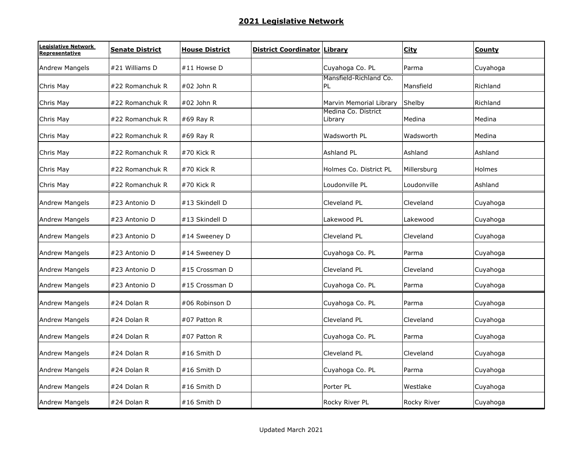| Legislative Network<br>Representative | <b>Senate District</b> | <b>House District</b> | <b>District Coordinator Library</b> |                                | <b>City</b> | <b>County</b> |
|---------------------------------------|------------------------|-----------------------|-------------------------------------|--------------------------------|-------------|---------------|
| <b>Andrew Mangels</b>                 | #21 Williams D         | #11 Howse D           |                                     | Cuyahoga Co. PL                | Parma       | Cuyahoga      |
| Chris May                             | #22 Romanchuk R        | #02 John R            |                                     | Mansfield-Richland Co.<br>PL   | Mansfield   | Richland      |
| Chris May                             | #22 Romanchuk R        | #02 John R            |                                     | Marvin Memorial Library        | Shelby      | Richland      |
| Chris May                             | #22 Romanchuk R        | #69 Ray R             |                                     | Medina Co. District<br>Library | Medina      | Medina        |
| Chris May                             | #22 Romanchuk R        | #69 Ray R             |                                     | Wadsworth PL                   | Wadsworth   | Medina        |
| Chris May                             | #22 Romanchuk R        | #70 Kick R            |                                     | Ashland PL                     | Ashland     | Ashland       |
| Chris May                             | #22 Romanchuk R        | #70 Kick R            |                                     | Holmes Co. District PL         | Millersburg | Holmes        |
| Chris May                             | #22 Romanchuk R        | $#70$ Kick R          |                                     | Loudonville PL                 | Loudonville | Ashland       |
| <b>Andrew Mangels</b>                 | #23 Antonio D          | #13 Skindell D        |                                     | Cleveland PL                   | Cleveland   | Cuyahoga      |
| <b>Andrew Mangels</b>                 | #23 Antonio D          | #13 Skindell D        |                                     | Lakewood PL                    | Lakewood    | Cuyahoga      |
| <b>Andrew Mangels</b>                 | #23 Antonio D          | #14 Sweeney D         |                                     | Cleveland PL                   | Cleveland   | Cuyahoga      |
| <b>Andrew Mangels</b>                 | #23 Antonio D          | #14 Sweeney D         |                                     | Cuyahoga Co. PL                | Parma       | Cuyahoga      |
| <b>Andrew Mangels</b>                 | #23 Antonio D          | #15 Crossman D        |                                     | Cleveland PL                   | Cleveland   | Cuyahoga      |
| <b>Andrew Mangels</b>                 | #23 Antonio D          | #15 Crossman D        |                                     | Cuyahoga Co. PL                | Parma       | Cuyahoga      |
| <b>Andrew Mangels</b>                 | #24 Dolan R            | #06 Robinson D        |                                     | Cuyahoga Co. PL                | Parma       | Cuyahoga      |
| <b>Andrew Mangels</b>                 | #24 Dolan R            | #07 Patton R          |                                     | Cleveland PL                   | Cleveland   | Cuyahoga      |
| <b>Andrew Mangels</b>                 | #24 Dolan R            | #07 Patton R          |                                     | Cuyahoga Co. PL                | Parma       | Cuyahoga      |
| <b>Andrew Mangels</b>                 | #24 Dolan R            | #16 Smith D           |                                     | Cleveland PL                   | Cleveland   | Cuyahoga      |
| <b>Andrew Mangels</b>                 | #24 Dolan R            | #16 Smith D           |                                     | Cuyahoga Co. PL                | Parma       | Cuyahoga      |
| <b>Andrew Mangels</b>                 | #24 Dolan R            | #16 Smith D           |                                     | Porter PL                      | Westlake    | Cuyahoga      |
| <b>Andrew Mangels</b>                 | #24 Dolan R            | #16 Smith D           |                                     | Rocky River PL                 | Rocky River | Cuyahoga      |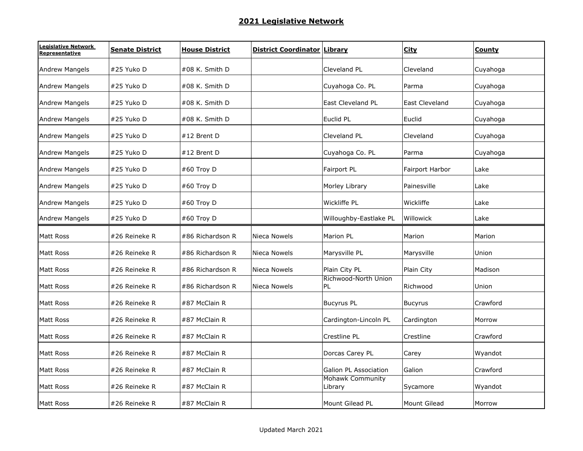| egislative Network.<br>Representative | <b>Senate District</b> | <b>House District</b> | <b>District Coordinator Library</b> |                                    | <b>City</b>     | County   |
|---------------------------------------|------------------------|-----------------------|-------------------------------------|------------------------------------|-----------------|----------|
| <b>Andrew Mangels</b>                 | #25 Yuko D             | #08 K. Smith D        |                                     | Cleveland PL                       | Cleveland       | Cuyahoga |
| <b>Andrew Mangels</b>                 | #25 Yuko D             | #08 K. Smith D        |                                     | Cuyahoga Co. PL                    | Parma           | Cuyahoga |
| <b>Andrew Mangels</b>                 | #25 Yuko D             | #08 K. Smith D        |                                     | <b>East Cleveland PL</b>           | East Cleveland  | Cuyahoga |
| <b>Andrew Mangels</b>                 | #25 Yuko D             | #08 K. Smith D        |                                     | Euclid PL                          | Euclid          | Cuyahoga |
| <b>Andrew Mangels</b>                 | #25 Yuko D             | #12 Brent D           |                                     | Cleveland PL                       | Cleveland       | Cuyahoga |
| <b>Andrew Mangels</b>                 | #25 Yuko D             | #12 Brent D           |                                     | Cuyahoga Co. PL                    | Parma           | Cuyahoga |
| <b>Andrew Mangels</b>                 | #25 Yuko D             | #60 Troy D            |                                     | Fairport PL                        | Fairport Harbor | Lake     |
| <b>Andrew Mangels</b>                 | #25 Yuko D             | #60 Troy D            |                                     | Morley Library                     | Painesville     | Lake     |
| <b>Andrew Mangels</b>                 | #25 Yuko D             | #60 Troy D            |                                     | Wickliffe PL                       | Wickliffe       | Lake     |
| <b>Andrew Mangels</b>                 | #25 Yuko D             | #60 Troy D            |                                     | Willoughby-Eastlake PL             | Willowick       | Lake     |
| Matt Ross                             | #26 Reineke R          | #86 Richardson R      | Nieca Nowels                        | Marion PL                          | Marion          | Marion   |
| Matt Ross                             | #26 Reineke R          | #86 Richardson R      | Nieca Nowels                        | Marysville PL                      | Marysville      | Union    |
| <b>Matt Ross</b>                      | #26 Reineke R          | #86 Richardson R      | Nieca Nowels                        | Plain City PL                      | Plain City      | Madison  |
| Matt Ross                             | #26 Reineke R          | #86 Richardson R      | Nieca Nowels                        | Richwood-North Union<br>PL         | Richwood        | Union    |
| Matt Ross                             | #26 Reineke R          | #87 McClain R         |                                     | <b>Bucyrus PL</b>                  | <b>Bucyrus</b>  | Crawford |
| Matt Ross                             | #26 Reineke R          | #87 McClain R         |                                     | Cardington-Lincoln PL              | Cardington      | Morrow   |
| Matt Ross                             | #26 Reineke R          | #87 McClain R         |                                     | Crestline PL                       | Crestline       | Crawford |
| Matt Ross                             | #26 Reineke R          | #87 McClain R         |                                     | Dorcas Carey PL                    | Carey           | Wyandot  |
| Matt Ross                             | #26 Reineke R          | #87 McClain R         |                                     | Galion PL Association              | Galion          | Crawford |
| <b>Matt Ross</b>                      | #26 Reineke R          | #87 McClain R         |                                     | <b>Mohawk Community</b><br>Library | Sycamore        | Wyandot  |
| Matt Ross                             | #26 Reineke R          | #87 McClain R         |                                     | Mount Gilead PL                    | Mount Gilead    | Morrow   |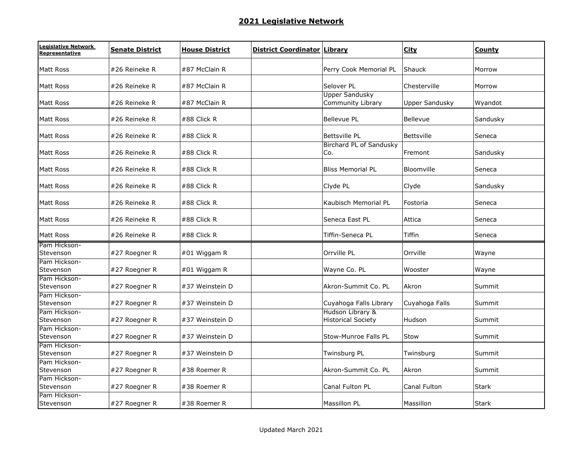| Legislative Network<br>Representative | <b>Senate District</b> | <b>House District</b> | <b>District Coordinator Library</b> |                                               | <b>City</b>           | County       |
|---------------------------------------|------------------------|-----------------------|-------------------------------------|-----------------------------------------------|-----------------------|--------------|
| Matt Ross                             | #26 Reineke R          | #87 McClain R         |                                     | Perry Cook Memorial PL                        | Shauck                | Morrow       |
| Matt Ross                             | #26 Reineke R          | #87 McClain R         |                                     | Selover PL                                    | Chesterville          | Morrow       |
| Matt Ross                             | #26 Reineke R          | #87 McClain R         |                                     | <b>Upper Sandusky</b><br>Community Library    | <b>Upper Sandusky</b> | Wyandot      |
| Matt Ross                             | #26 Reineke R          | #88 Click R           |                                     | <b>Bellevue PL</b>                            | Bellevue              | Sandusky     |
| Matt Ross                             | #26 Reineke R          | $\#88$ Click R        |                                     | <b>Bettsville PL</b>                          | <b>Bettsville</b>     | Seneca       |
| Matt Ross                             | #26 Reineke R          | #88 Click R           |                                     | <b>Birchard PL of Sandusky</b><br>Co.         | Fremont               | Sandusky     |
| Matt Ross                             | #26 Reineke R          | #88 Click R           |                                     | <b>Bliss Memorial PL</b>                      | Bloomville            | Seneca       |
| <b>Matt Ross</b>                      | #26 Reineke R          | #88 Click R           |                                     | Clyde PL                                      | Clyde                 | Sandusky     |
| Matt Ross                             | #26 Reineke R          | #88 Click R           |                                     | Kaubisch Memorial PL                          | Fostoria              | Seneca       |
| <b>Matt Ross</b>                      | #26 Reineke R          | #88 Click R           |                                     | Seneca East PL                                | Attica                | Seneca       |
| <b>Matt Ross</b>                      | #26 Reineke R          | #88 Click R           |                                     | Tiffin-Seneca PL                              | Tiffin                | Seneca       |
| Pam Hickson-<br>Stevenson             | #27 Roegner R          | #01 Wiggam R          |                                     | Orrville PL                                   | Orrville              | Wayne        |
| Pam Hickson-<br>Stevenson             | #27 Roegner R          | #01 Wiggam R          |                                     | Wayne Co. PL                                  | Wooster               | Wayne        |
| Pam Hickson-<br>Stevenson             | #27 Roegner R          | #37 Weinstein D       |                                     | Akron-Summit Co. PL                           | Akron                 | Summit       |
| Pam Hickson-<br>Stevenson             | #27 Roegner R          | #37 Weinstein D       |                                     | Cuyahoga Falls Library                        | Cuyahoga Falls        | Summit       |
| Pam Hickson-<br>Stevenson             | #27 Roegner R          | #37 Weinstein D       |                                     | Hudson Library &<br><b>Historical Society</b> | Hudson                | Summit       |
| Pam Hickson-<br>Stevenson             | #27 Roegner R          | #37 Weinstein D       |                                     | <b>Stow-Munroe Falls PL</b>                   | Stow                  | Summit       |
| Pam Hickson-<br>Stevenson             | #27 Roegner R          | #37 Weinstein D       |                                     | Twinsburg PL                                  | Twinsburg             | Summit       |
| Pam Hickson-<br>Stevenson             | #27 Roegner R          | #38 Roemer R          |                                     | Akron-Summit Co. PL                           | Akron                 | Summit       |
| Pam Hickson-<br>Stevenson             | #27 Roegner R          | #38 Roemer R          |                                     | Canal Fulton PL                               | Canal Fulton          | <b>Stark</b> |
| Pam Hickson-<br>Stevenson             | #27 Roegner R          | #38 Roemer R          |                                     | Massillon PL                                  | Massillon             | <b>Stark</b> |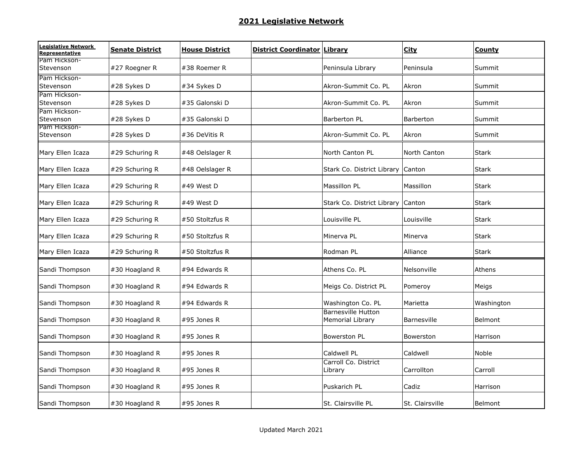| Legislative Network<br>Representative | <b>Senate District</b> | <b>House District</b> | <b>District Coordinator Library</b> |                                               | <b>City</b>     | <b>County</b> |
|---------------------------------------|------------------------|-----------------------|-------------------------------------|-----------------------------------------------|-----------------|---------------|
| Pam Hickson-<br>Stevenson             | #27 Roegner R          | #38 Roemer R          |                                     | Peninsula Library                             | Peninsula       | Summit        |
| Pam Hickson-<br>Stevenson             | #28 Sykes D            | #34 Sykes D           |                                     | Akron-Summit Co. PL                           | Akron           | Summit        |
| Pam Hickson-<br>Stevenson             | #28 Sykes D            | #35 Galonski D        |                                     | Akron-Summit Co. PL                           | Akron           | Summit        |
| Pam Hickson-<br>Stevenson             | #28 Sykes D            | #35 Galonski D        |                                     | Barberton PL                                  | Barberton       | Summit        |
| Pam Hickson-<br>Stevenson             | #28 Sykes D            | #36 DeVitis R         |                                     | Akron-Summit Co. PL                           | Akron           | Summit        |
| Mary Ellen Icaza                      | #29 Schuring R         | #48 Oelslager R       |                                     | North Canton PL                               | North Canton    | <b>Stark</b>  |
| Mary Ellen Icaza                      | #29 Schuring R         | #48 Oelslager R       |                                     | Stark Co. District Library Canton             |                 | <b>Stark</b>  |
| Mary Ellen Icaza                      | #29 Schuring R         | #49 West D            |                                     | <b>Massillon PL</b>                           | Massillon       | <b>Stark</b>  |
| Mary Ellen Icaza                      | #29 Schuring R         | #49 West D            |                                     | Stark Co. District Library                    | Canton          | <b>Stark</b>  |
| Mary Ellen Icaza                      | #29 Schuring R         | #50 Stoltzfus R       |                                     | Louisville PL                                 | Louisville      | <b>Stark</b>  |
| Mary Ellen Icaza                      | #29 Schuring R         | #50 Stoltzfus R       |                                     | Minerva PL                                    | Minerva         | Stark         |
| Mary Ellen Icaza                      | #29 Schuring R         | #50 Stoltzfus R       |                                     | Rodman PL                                     | Alliance        | <b>Stark</b>  |
| Sandi Thompson                        | #30 Hoagland R         | #94 Edwards R         |                                     | Athens Co. PL                                 | Nelsonville     | Athens        |
| Sandi Thompson                        | #30 Hoagland R         | #94 Edwards R         |                                     | Meigs Co. District PL                         | Pomeroy         | Meigs         |
| Sandi Thompson                        | #30 Hoagland R         | #94 Edwards R         |                                     | Washington Co. PL                             | Marietta        | Washington    |
| Sandi Thompson                        | #30 Hoagland R         | #95 Jones R           |                                     | <b>Barnesville Hutton</b><br>Memorial Library | Barnesville     | Belmont       |
| Sandi Thompson                        | #30 Hoagland R         | #95 Jones R           |                                     | Bowerston PL                                  | Bowerston       | Harrison      |
| Sandi Thompson                        | #30 Hoagland R         | #95 Jones R           |                                     | Caldwell PL                                   | Caldwell        | Noble         |
| Sandi Thompson                        | #30 Hoagland R         | #95 Jones R           |                                     | Carroll Co. District<br>Library               | Carrollton      | Carroll       |
| Sandi Thompson                        | #30 Hoagland R         | #95 Jones R           |                                     | Puskarich PL                                  | Cadiz           | Harrison      |
| Sandi Thompson                        | #30 Hoagland R         | #95 Jones R           |                                     | St. Clairsville PL                            | St. Clairsville | Belmont       |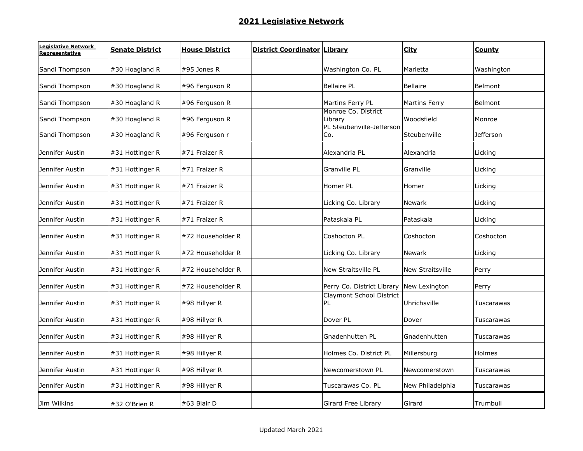| Legislative Network<br>Representative | <b>Senate District</b> | <b>House District</b> | <b>District Coordinator</b> | Library                                  | <b>City</b>             | County           |
|---------------------------------------|------------------------|-----------------------|-----------------------------|------------------------------------------|-------------------------|------------------|
| Sandi Thompson                        | #30 Hoagland R         | #95 Jones R           |                             | Washington Co. PL                        | Marietta                | Washington       |
| Sandi Thompson                        | #30 Hoagland R         | #96 Ferguson R        |                             | <b>Bellaire PL</b>                       | <b>Bellaire</b>         | Belmont          |
| Sandi Thompson                        | #30 Hoagland R         | #96 Ferguson R        |                             | Martins Ferry PL                         | Martins Ferry           | Belmont          |
| Sandi Thompson                        | #30 Hoagland R         | #96 Ferguson R        |                             | Monroe Co. District<br>Library           | Woodsfield              | Monroe           |
| Sandi Thompson                        | #30 Hoagland R         | #96 Ferguson r        |                             | PL Steubenville-Jefferson<br>Co.         | Steubenville            | <b>Jefferson</b> |
| Jennifer Austin                       | #31 Hottinger R        | #71 Fraizer R         |                             | Alexandria PL                            | Alexandria              | Licking          |
| Jennifer Austin                       | #31 Hottinger R        | #71 Fraizer R         |                             | Granville PL                             | Granville               | Licking          |
| Jennifer Austin                       | #31 Hottinger R        | #71 Fraizer R         |                             | Homer PL                                 | Homer                   | Licking          |
| Jennifer Austin                       | #31 Hottinger R        | #71 Fraizer R         |                             | Licking Co. Library                      | Newark                  | Licking          |
| Jennifer Austin                       | #31 Hottinger R        | #71 Fraizer R         |                             | Pataskala PL                             | Pataskala               | Licking          |
| Jennifer Austin                       | #31 Hottinger R        | #72 Householder R     |                             | Coshocton PL                             | Coshocton               | Coshocton        |
| Jennifer Austin                       | #31 Hottinger R        | #72 Householder R     |                             | Licking Co. Library                      | <b>Newark</b>           | Licking          |
| Jennifer Austin                       | #31 Hottinger R        | #72 Householder R     |                             | New Straitsville PL                      | <b>New Straitsville</b> | Perry            |
| Jennifer Austin                       | #31 Hottinger R        | #72 Householder R     |                             | Perry Co. District Library New Lexington |                         | Perry            |
| Jennifer Austin                       | #31 Hottinger R        | #98 Hillyer R         |                             | <b>Claymont School District</b><br>PL    | Uhrichsville            | Tuscarawas       |
| Jennifer Austin                       | #31 Hottinger R        | #98 Hillyer R         |                             | Dover PL                                 | Dover                   | Tuscarawas       |
| Jennifer Austin                       | #31 Hottinger R        | #98 Hillyer R         |                             | Gnadenhutten PL                          | Gnadenhutten            | Tuscarawas       |
| Jennifer Austin                       | #31 Hottinger R        | #98 Hillyer R         |                             | Holmes Co. District PL                   | Millersburg             | Holmes           |
| Jennifer Austin                       | #31 Hottinger R        | #98 Hillyer R         |                             | Newcomerstown PL                         | Newcomerstown           | Tuscarawas       |
| Jennifer Austin                       | #31 Hottinger R        | #98 Hillyer R         |                             | Tuscarawas Co. PL                        | New Philadelphia        | Tuscarawas       |
| Jim Wilkins                           | #32 O'Brien R          | #63 Blair D           |                             | Girard Free Library                      | Girard                  | Trumbull         |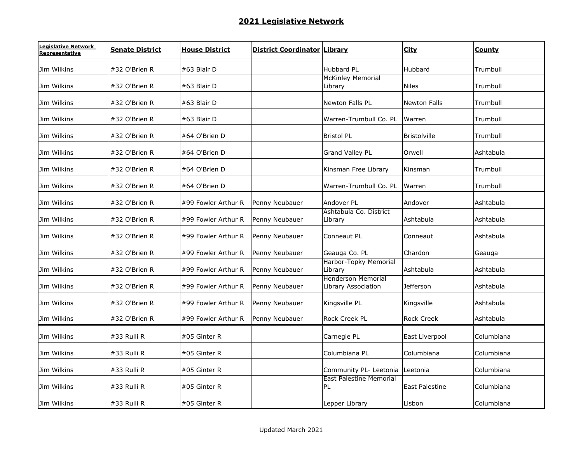| Legislative Network<br>Representative | <b>Senate District</b> | <b>House District</b> | District Coordinator | Library                                          | <b>City</b>         | <b>County</b> |
|---------------------------------------|------------------------|-----------------------|----------------------|--------------------------------------------------|---------------------|---------------|
| Jim Wilkins                           | #32 O'Brien R          | #63 Blair D           |                      | Hubbard PL                                       | Hubbard             | Trumbull      |
| Jim Wilkins                           | #32 O'Brien R          | #63 Blair D           |                      | <b>McKinley Memorial</b><br>Library              | <b>Niles</b>        | Trumbull      |
| Jim Wilkins                           | #32 O'Brien R          | #63 Blair D           |                      | <b>Newton Falls PL</b>                           | <b>Newton Falls</b> | Trumbull      |
| Jim Wilkins                           | #32 O'Brien R          | #63 Blair D           |                      | Warren-Trumbull Co. PL                           | Warren              | Trumbull      |
| Jim Wilkins                           | #32 O'Brien R          | #64 O'Brien D         |                      | <b>Bristol PL</b>                                | <b>Bristolville</b> | Trumbull      |
| Jim Wilkins                           | #32 O'Brien R          | #64 O'Brien D         |                      | Grand Valley PL                                  | Orwell              | Ashtabula     |
| Jim Wilkins                           | #32 O'Brien R          | #64 O'Brien D         |                      | Kinsman Free Library                             | Kinsman             | Trumbull      |
| Jim Wilkins                           | #32 O'Brien R          | #64 O'Brien D         |                      | Warren-Trumbull Co. PL                           | Warren              | Trumbull      |
| Jim Wilkins                           | #32 O'Brien R          | #99 Fowler Arthur R   | Penny Neubauer       | Andover PL                                       | Andover             | Ashtabula     |
| Jim Wilkins                           | #32 O'Brien R          | #99 Fowler Arthur R   | Penny Neubauer       | Ashtabula Co. District<br>Library                | Ashtabula           | Ashtabula     |
| Jim Wilkins                           | #32 O'Brien R          | #99 Fowler Arthur R   | Penny Neubauer       | Conneaut PL                                      | Conneaut            | Ashtabula     |
| Jim Wilkins                           | #32 O'Brien R          | #99 Fowler Arthur R   | Penny Neubauer       | Geauga Co. PL                                    | Chardon             | Geauga        |
| Jim Wilkins                           | #32 O'Brien R          | #99 Fowler Arthur R   | Penny Neubauer       | Harbor-Topky Memorial<br>Library                 | Ashtabula           | Ashtabula     |
| Jim Wilkins                           | #32 O'Brien R          | #99 Fowler Arthur R   | Penny Neubauer       | <b>Henderson Memorial</b><br>Library Association | <b>Jefferson</b>    | Ashtabula     |
| Jim Wilkins                           | #32 O'Brien R          | #99 Fowler Arthur R   | Penny Neubauer       | Kingsville PL                                    | Kingsville          | Ashtabula     |
| Jim Wilkins                           | #32 O'Brien R          | #99 Fowler Arthur R   | Penny Neubauer       | <b>Rock Creek PL</b>                             | <b>Rock Creek</b>   | Ashtabula     |
| Jim Wilkins                           | #33 Rulli R            | #05 Ginter R          |                      | Carnegie PL                                      | East Liverpool      | Columbiana    |
| Jim Wilkins                           | #33 Rulli R            | #05 Ginter R          |                      | Columbiana PL                                    | Columbiana          | Columbiana    |
| Jim Wilkins                           | #33 Rulli R            | #05 Ginter R          |                      | Community PL- Leetonia Leetonia                  |                     | Columbiana    |
| Jim Wilkins                           | #33 Rulli R            | #05 Ginter R          |                      | <b>East Palestine Memorial</b><br><b>PL</b>      | East Palestine      | Columbiana    |
| Jim Wilkins                           | #33 Rulli R            | #05 Ginter R          |                      | Lepper Library                                   | Lisbon              | Columbiana    |